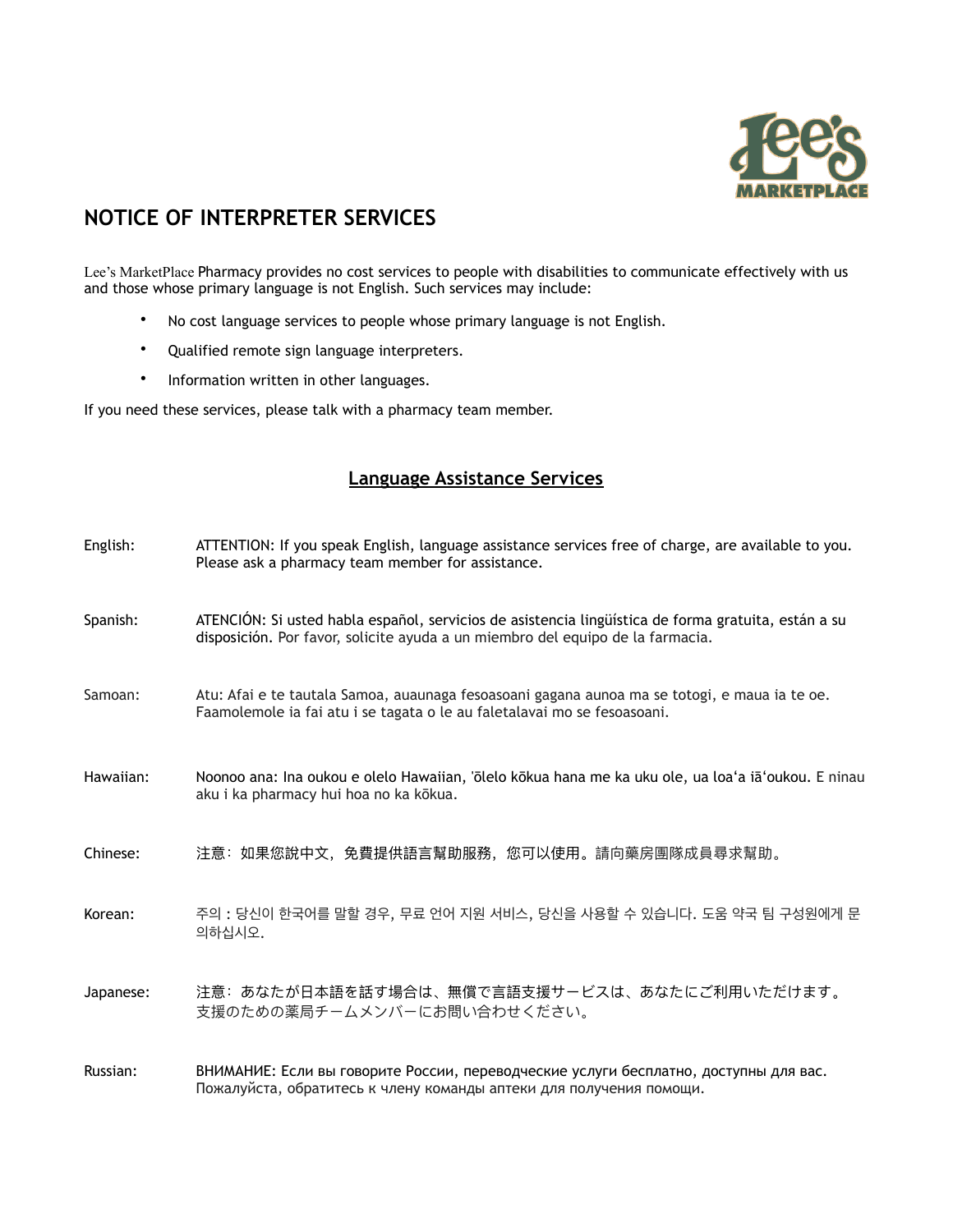

## **NOTICE OF INTERPRETER SERVICES**

Lee's MarketPlace Pharmacy provides no cost services to people with disabilities to communicate effectively with us and those whose primary language is not English. Such services may include:

- No cost language services to people whose primary language is not English.
- Qualified remote sign language interpreters.
- Information written in other languages.

If you need these services, please talk with a pharmacy team member.

## **Language Assistance Services**

| English:  | ATTENTION: If you speak English, language assistance services free of charge, are available to you.<br>Please ask a pharmacy team member for assistance.                              |
|-----------|---------------------------------------------------------------------------------------------------------------------------------------------------------------------------------------|
| Spanish:  | ATENCIÓN: Si usted habla español, servicios de asistencia lingüística de forma gratuita, están a su<br>disposición. Por favor, solicite ayuda a un miembro del equipo de la farmacia. |
| Samoan:   | Atu: Afai e te tautala Samoa, auaunaga fesoasoani gagana aunoa ma se totogi, e maua ia te oe.<br>Faamolemole ia fai atu i se tagata o le au faletalavai mo se fesoasoani.             |
| Hawaiian: | Noonoo ana: Ina oukou e olelo Hawaiian, 'ōlelo kōkua hana me ka uku ole, ua loa'a iā'oukou. E ninau<br>aku i ka pharmacy hui hoa no ka kōkua.                                         |
| Chinese:  | 注意:如果您說中文,免費提供語言幫助服務,您可以使用。請向藥房團隊成員尋求幫助。                                                                                                                                              |
| Korean:   | 주의 : 당신이 한국어를 말할 경우, 무료 언어 지원 서비스, 당신을 사용할 수 있습니다. 도움 약국 팀 구성원에게 문<br>의하십시오.                                                                                                          |
| Japanese: | 注意: あなたが日本語を話す場合は、無償で言語支援サービスは、あなたにご利用いただけます。<br>支援のための薬局チームメンバーにお問い合わせください。                                                                                                          |
| Russian:  | ВНИМАНИЕ: Если вы говорите России, переводческие услуги бесплатно, доступны для вас.                                                                                                  |

Пожалуйста, обратитесь к члену команды аптеки для получения помощи.